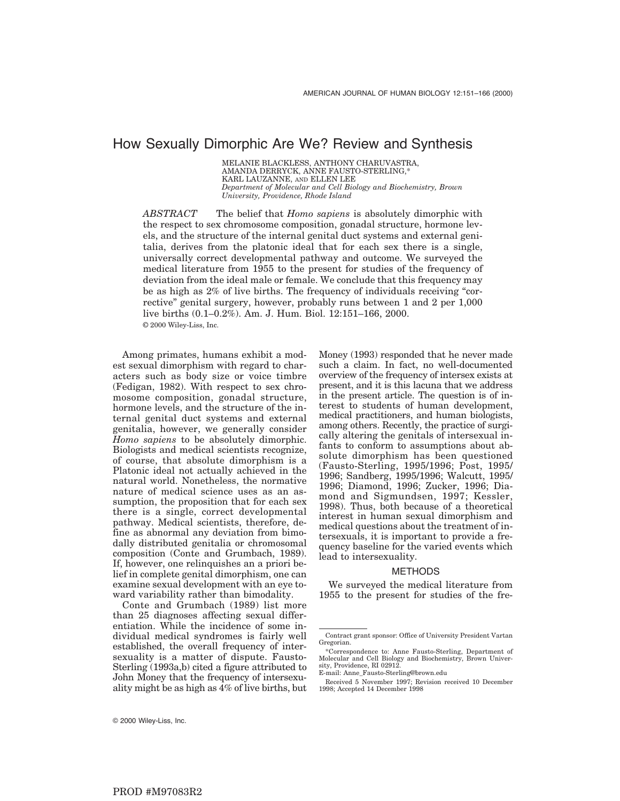# How Sexually Dimorphic Are We? Review and Synthesis

MELANIE BLACKLESS, ANTHONY CHARUVASTRA, AMANDA DERRYCK, ANNE FAUSTO-STERLING,\* KARL LAUZANNE, AND ELLEN LEE *Department of Molecular and Cell Biology and Biochemistry, Brown University, Providence, Rhode Island*

*ABSTRACT* The belief that *Homo sapiens* is absolutely dimorphic with the respect to sex chromosome composition, gonadal structure, hormone levels, and the structure of the internal genital duct systems and external genitalia, derives from the platonic ideal that for each sex there is a single, universally correct developmental pathway and outcome. We surveyed the medical literature from 1955 to the present for studies of the frequency of deviation from the ideal male or female. We conclude that this frequency may be as high as 2% of live births. The frequency of individuals receiving "corrective" genital surgery, however, probably runs between 1 and 2 per 1,000 live births (0.1–0.2%). Am. J. Hum. Biol. 12:151–166, 2000. © 2000 Wiley-Liss, Inc.

Among primates, humans exhibit a modest sexual dimorphism with regard to characters such as body size or voice timbre (Fedigan, 1982). With respect to sex chromosome composition, gonadal structure, hormone levels, and the structure of the internal genital duct systems and external genitalia, however, we generally consider *Homo sapiens* to be absolutely dimorphic. Biologists and medical scientists recognize, of course, that absolute dimorphism is a Platonic ideal not actually achieved in the natural world. Nonetheless, the normative nature of medical science uses as an assumption, the proposition that for each sex there is a single, correct developmental pathway. Medical scientists, therefore, define as abnormal any deviation from bimodally distributed genitalia or chromosomal composition (Conte and Grumbach, 1989). If, however, one relinquishes an a priori belief in complete genital dimorphism, one can examine sexual development with an eye toward variability rather than bimodality.

Conte and Grumbach (1989) list more than 25 diagnoses affecting sexual differentiation. While the incidence of some individual medical syndromes is fairly well established, the overall frequency of intersexuality is a matter of dispute. Fausto-Sterling (1993a,b) cited a figure attributed to John Money that the frequency of intersexuality might be as high as 4% of live births, but Money (1993) responded that he never made such a claim. In fact, no well-documented overview of the frequency of intersex exists at present, and it is this lacuna that we address in the present article. The question is of interest to students of human development, medical practitioners, and human biologists, among others. Recently, the practice of surgically altering the genitals of intersexual infants to conform to assumptions about absolute dimorphism has been questioned (Fausto-Sterling, 1995/1996; Post, 1995/ 1996; Sandberg, 1995/1996; Walcutt, 1995/ 1996; Diamond, 1996; Zucker, 1996; Diamond and Sigmundsen, 1997; Kessler, 1998). Thus, both because of a theoretical interest in human sexual dimorphism and medical questions about the treatment of intersexuals, it is important to provide a frequency baseline for the varied events which lead to intersexuality.

#### METHODS

We surveyed the medical literature from 1955 to the present for studies of the fre-

Contract grant sponsor: Office of University President Vartan Gregorian.

<sup>\*</sup>Correspondence to: Anne Fausto-Sterling, Department of Molecular and Cell Biology and Biochemistry, Brown University, Providence, RI 02912.

E-mail: Anne\_Fausto-Sterling@brown.edu

Received 5 November 1997; Revision received 10 December 1998; Accepted 14 December 1998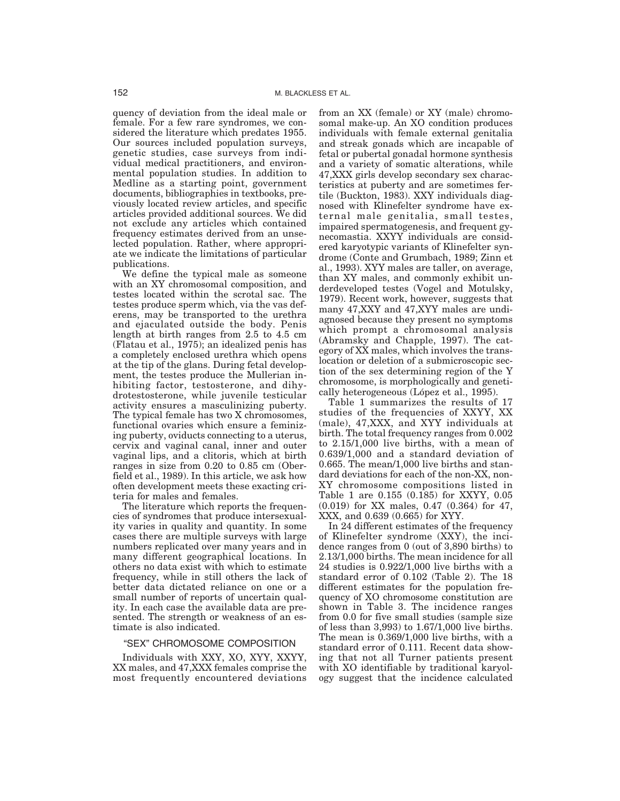quency of deviation from the ideal male or female. For a few rare syndromes, we considered the literature which predates 1955. Our sources included population surveys, genetic studies, case surveys from individual medical practitioners, and environmental population studies. In addition to Medline as a starting point, government documents, bibliographies in textbooks, previously located review articles, and specific articles provided additional sources. We did not exclude any articles which contained frequency estimates derived from an unselected population. Rather, where appropriate we indicate the limitations of particular publications.

We define the typical male as someone with an XY chromosomal composition, and testes located within the scrotal sac. The testes produce sperm which, via the vas deferens, may be transported to the urethra and ejaculated outside the body. Penis length at birth ranges from 2.5 to 4.5 cm (Flatau et al., 1975); an idealized penis has a completely enclosed urethra which opens at the tip of the glans. During fetal development, the testes produce the Mullerian inhibiting factor, testosterone, and dihydrotestosterone, while juvenile testicular activity ensures a masculinizing puberty. The typical female has two X chromosomes, functional ovaries which ensure a feminizing puberty, oviducts connecting to a uterus, cervix and vaginal canal, inner and outer vaginal lips, and a clitoris, which at birth ranges in size from 0.20 to 0.85 cm (Oberfield et al., 1989). In this article, we ask how often development meets these exacting criteria for males and females.

The literature which reports the frequencies of syndromes that produce intersexuality varies in quality and quantity. In some cases there are multiple surveys with large numbers replicated over many years and in many different geographical locations. In others no data exist with which to estimate frequency, while in still others the lack of better data dictated reliance on one or a small number of reports of uncertain quality. In each case the available data are presented. The strength or weakness of an estimate is also indicated.

#### "SEX" CHROMOSOME COMPOSITION

Individuals with XXY, XO, XYY, XXYY, XX males, and 47,XXX females comprise the most frequently encountered deviations from an XX (female) or XY (male) chromosomal make-up. An XO condition produces individuals with female external genitalia and streak gonads which are incapable of fetal or pubertal gonadal hormone synthesis and a variety of somatic alterations, while 47,XXX girls develop secondary sex characteristics at puberty and are sometimes fertile (Buckton, 1983). XXY individuals diagnosed with Klinefelter syndrome have external male genitalia, small testes, impaired spermatogenesis, and frequent gynecomastia. XXYY individuals are considered karyotypic variants of Klinefelter syndrome (Conte and Grumbach, 1989; Zinn et al., 1993). XYY males are taller, on average, than XY males, and commonly exhibit underdeveloped testes (Vogel and Motulsky, 1979). Recent work, however, suggests that many 47,XXY and 47,XYY males are undiagnosed because they present no symptoms which prompt a chromosomal analysis (Abramsky and Chapple, 1997). The category of XX males, which involves the translocation or deletion of a submicroscopic section of the sex determining region of the Y chromosome, is morphologically and genetically heterogeneous (López et al., 1995).

Table 1 summarizes the results of 17 studies of the frequencies of XXYY, XX (male), 47,XXX, and XYY individuals at birth. The total frequency ranges from 0.002 to 2.15/1,000 live births, with a mean of 0.639/1,000 and a standard deviation of 0.665. The mean/1,000 live births and standard deviations for each of the non-XX, non-XY chromosome compositions listed in Table 1 are 0.155 (0.185) for XXYY, 0.05 (0.019) for XX males, 0.47 (0.364) for 47, XXX, and 0.639 (0.665) for XYY.

In 24 different estimates of the frequency of Klinefelter syndrome (XXY), the incidence ranges from 0 (out of 3,890 births) to 2.13/1,000 births. The mean incidence for all 24 studies is 0.922/1,000 live births with a standard error of 0.102 (Table 2). The 18 different estimates for the population frequency of XO chromosome constitution are shown in Table 3. The incidence ranges from 0.0 for five small studies (sample size of less than 3,993) to 1.67/1,000 live births. The mean is 0.369/1,000 live births, with a standard error of 0.111. Recent data showing that not all Turner patients present with XO identifiable by traditional karyology suggest that the incidence calculated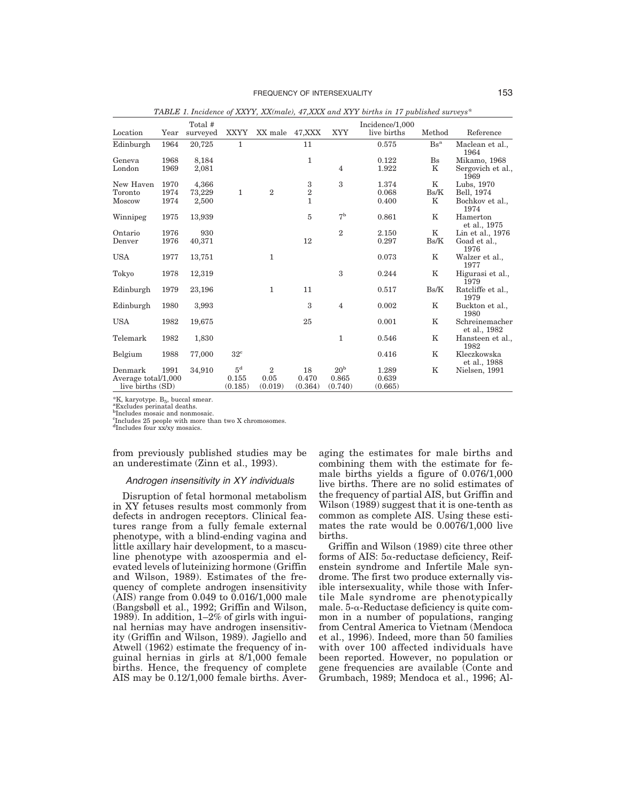|                     |      | Total #  |                 |                |              |                 | Incidence/1,000 |                        |                                |
|---------------------|------|----------|-----------------|----------------|--------------|-----------------|-----------------|------------------------|--------------------------------|
| Location            | Year | surveyed | <b>XXYY</b>     | XX male        | 47, XXX      | <b>XYY</b>      | live births     | Method                 | Reference                      |
| Edinburgh           | 1964 | 20,725   | 1               |                | 11           |                 | 0.575           | $\text{Bs}^{\text{a}}$ | Maclean et al.,<br>1964        |
| Geneva              | 1968 | 8,184    |                 |                | $\mathbf{1}$ |                 | 0.122           | $_{\rm Bs}$            | Mikamo, 1968                   |
| London              | 1969 | 2,081    |                 |                |              | $\overline{4}$  | 1.922           | K                      | Sergovich et al.,<br>1969      |
| New Haven           | 1970 | 4,366    |                 |                | $\,3$        | 3               | 1.374           | K                      | Lubs, 1970                     |
| Toronto             | 1974 | 73,229   | 1               | $\overline{2}$ | $\,2$        |                 | 0.068           | Bs/K                   | Bell, 1974                     |
| Moscow              | 1974 | 2,500    |                 |                | $\mathbf{1}$ |                 | 0.400           | K                      | Bochkov et al.,<br>1974        |
| Winnipeg            | 1975 | 13,939   |                 |                | 5            | 7 <sup>b</sup>  | 0.861           | K                      | Hamerton<br>et al., 1975       |
| Ontario             | 1976 | 930      |                 |                |              | $\overline{2}$  | 2.150           | $_{\rm K}$             | Lin et al., 1976               |
| Denver              | 1976 | 40,371   |                 |                | 12           |                 | 0.297           | Bs/K                   | Goad et al.,<br>1976           |
| <b>USA</b>          | 1977 | 13,751   |                 | $\mathbf{1}$   |              |                 | 0.073           | K                      | Walzer et al.,<br>1977         |
| Tokyo               | 1978 | 12,319   |                 |                |              | 3               | 0.244           | K                      | Higurasi et al.,<br>1979       |
| Edinburgh           | 1979 | 23,196   |                 | $\mathbf{1}$   | 11           |                 | 0.517           | Bs/K                   | Ratcliffe et al.,<br>1979      |
| Edinburgh           | 1980 | 3,993    |                 |                | 3            | $\overline{4}$  | 0.002           | K                      | Buckton et al.,<br>1980        |
| <b>USA</b>          | 1982 | 19,675   |                 |                | 25           |                 | 0.001           | K                      | Schreinemacher<br>et al., 1982 |
| Telemark            | 1982 | 1,830    |                 |                |              | $\mathbf{1}$    | 0.546           | K                      | Hansteen et al.,<br>1982       |
| Belgium             | 1988 | 77,000   | 32 <sup>c</sup> |                |              |                 | 0.416           | K                      | Kleczkowska<br>et al., 1988    |
| Denmark             | 1991 | 34,910   | 5 <sup>d</sup>  | $\overline{2}$ | 18           | 20 <sup>b</sup> | 1.289           | K                      | Nielsen, 1991                  |
| Average total/1,000 |      |          | 0.155           | 0.05           | 0.470        | 0.865           | 0.639           |                        |                                |
| live births (SD)    |      |          | (0.185)         | (0.019)        | (0.364)      | (0.740)         | (0.665)         |                        |                                |

*TABLE 1. Incidence of XXYY, XX(male), 47,XXX and XYY births in 17 published surveys\**

 ${}^{\text{a}}\text{K}$ , karyotype.  $B_5$ , buccal smear.<br> ${}^{\text{a}}\text{Excludes perinatal deaths.}$ 

<sup>b</sup>Includes mosaic and nonmosaic.

 $\rm{^{c}Includes~25}$  people with more than two X chromosomes.  $\rm{^{d}Includes~four~xx/xy~mosaics.}$ 

from previously published studies may be an underestimate (Zinn et al., 1993).

## Androgen insensitivity in XY individuals

Disruption of fetal hormonal metabolism in XY fetuses results most commonly from defects in androgen receptors. Clinical features range from a fully female external phenotype, with a blind-ending vagina and little axillary hair development, to a masculine phenotype with azoospermia and elevated levels of luteinizing hormone (Griffin and Wilson, 1989). Estimates of the frequency of complete androgen insensitivity (AIS) range from 0.049 to 0.016/1,000 male (Bangsbøll et al., 1992; Griffin and Wilson, 1989). In addition, 1–2% of girls with inguinal hernias may have androgen insensitivity (Griffin and Wilson, 1989). Jagiello and Atwell (1962) estimate the frequency of inguinal hernias in girls at 8/1,000 female births. Hence, the frequency of complete AIS may be 0.12/1,000 female births. Averaging the estimates for male births and combining them with the estimate for female births yields a figure of 0.076/1,000 live births. There are no solid estimates of the frequency of partial AIS, but Griffin and Wilson (1989) suggest that it is one-tenth as common as complete AIS. Using these estimates the rate would be 0.0076/1,000 live births.

Griffin and Wilson (1989) cite three other forms of AIS:  $5\alpha$ -reductase deficiency, Reifenstein syndrome and Infertile Male syndrome. The first two produce externally visible intersexuality, while those with Infertile Male syndrome are phenotypically male.  $5-\alpha$ -Reductase deficiency is quite common in a number of populations, ranging from Central America to Vietnam (Mendoca et al., 1996). Indeed, more than 50 families with over 100 affected individuals have been reported. However, no population or gene frequencies are available (Conte and Grumbach, 1989; Mendoca et al., 1996; Al-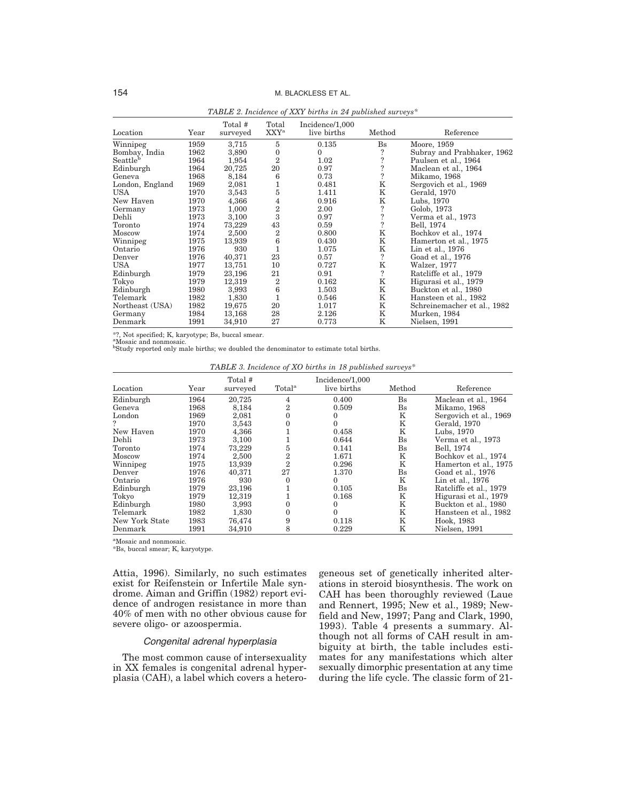| Location             | Year | Total #<br>surveyed | Total<br>XXY <sup>a</sup> | Incidence/1,000<br>live births | Method                   | Reference                   |
|----------------------|------|---------------------|---------------------------|--------------------------------|--------------------------|-----------------------------|
| Winnipeg             | 1959 | 3,715               | 5                         | 0.135                          | $_{\rm Bs}$              | Moore, 1959                 |
| Bombay, India        | 1962 | 3,890               | $\mathbf{0}$              | $\Omega$                       | ?                        | Subray and Prabhaker, 1962  |
| Seattle <sup>b</sup> | 1964 | 1,954               | $\overline{2}$            | 1.02                           | $\ddot{.}$               | Paulsen et al., 1964        |
| Edinburgh            | 1964 | 20,725              | 20                        | 0.97                           | $\overline{\mathbf{?}}$  | Maclean et al., 1964        |
| Geneva               | 1968 | 8,184               | 6                         | 0.73                           | $\overline{\phantom{a}}$ | Mikamo, 1968                |
| London, England      | 1969 | 2,081               | 1                         | 0.481                          | $\rm K$                  | Sergovich et al., 1969      |
| <b>USA</b>           | 1970 | 3,543               | 5                         | 1.411                          | $\mathbf K$              | Gerald, 1970                |
| New Haven            | 1970 | 4,366               | 4                         | 0.916                          | K                        | Lubs, 1970                  |
| Germany              | 1973 | 1,000               | $\overline{2}$            | 2.00                           | ?                        | Golob, 1973                 |
| Dehli                | 1973 | 3,100               | 3                         | 0.97                           | $\ddot{.}$               | Verma et al., 1973          |
| Toronto              | 1974 | 73,229              | 43                        | 0.59                           | $\overline{\mathcal{L}}$ | Bell, 1974                  |
| Moscow               | 1974 | 2,500               | $\overline{2}$            | 0.800                          | K                        | Bochkov et al., 1974        |
| Winnipeg             | 1975 | 13,939              | 6                         | 0.430                          | K                        | Hamerton et al., 1975       |
| Ontario              | 1976 | 930                 | $\mathbf{1}$              | 1.075                          | $\rm K$                  | Lin et al., 1976            |
| Denver               | 1976 | 40,371              | 23                        | 0.57                           | $\overline{\mathcal{E}}$ | Goad et al., 1976           |
| USA                  | 1977 | 13,751              | 10                        | 0.727                          | $\mathbf K$              | Walzer, 1977                |
| Edinburgh            | 1979 | 23,196              | 21                        | 0.91                           | $\overline{\phantom{a}}$ | Ratcliffe et al., 1979      |
| Tokyo                | 1979 | 12,319              | $\overline{2}$            | 0.162                          | $\mathbf K$              | Higurasi et al., 1979       |
| Edinburgh            | 1980 | 3,993               | 6                         | 1.503                          | K                        | Buckton et al., 1980        |
| Telemark             | 1982 | 1,830               | 1                         | 0.546                          | K                        | Hansteen et al., 1982       |
| Northeast (USA)      | 1982 | 19,675              | 20                        | 1.017                          | K                        | Schreinemacher et al., 1982 |
| Germany              | 1984 | 13,168              | 28                        | 2.126                          | K                        | Murken, 1984                |
| Denmark              | 1991 | 34,910              | 27                        | 0.773                          | Κ                        | Nielsen, 1991               |

*TABLE 2. Incidence of XXY births in 24 published surveys\**

\*?, Not specified; K, karyotype; Bs, buccal smear.

<sup>a</sup>Mosaic and nonmosaic.<br><sup>b</sup>Study reported only male births; we doubled the denominator to estimate total births.

| TABLE 3. Incidence of XO births in 18 published surveys* |  |  |  |  |  |  |  |
|----------------------------------------------------------|--|--|--|--|--|--|--|
|----------------------------------------------------------|--|--|--|--|--|--|--|

| Location       | Year | Total #<br>surveyed | Total <sup>a</sup> | Incidence/1,000<br>live births | Method      | Reference              |
|----------------|------|---------------------|--------------------|--------------------------------|-------------|------------------------|
| Edinburgh      | 1964 | 20.725              | 4                  | 0.400                          | $_{\rm Bs}$ | Maclean et al., 1964   |
| Geneva         | 1968 | 8.184               | 2                  | 0.509                          | $_{\rm Bs}$ | Mikamo, 1968           |
| London         | 1969 | 2,081               | $\Omega$           | $\Omega$                       | K           | Sergovich et al., 1969 |
|                | 1970 | 3,543               |                    | $\Omega$                       | Κ           | Gerald, 1970           |
| New Haven      | 1970 | 4,366               |                    | 0.458                          | K           | Lubs, 1970             |
| Dehli          | 1973 | 3,100               |                    | 0.644                          | $_{\rm Bs}$ | Verma et al., 1973     |
| Toronto        | 1974 | 73,229              | 5                  | 0.141                          | $_{\rm Bs}$ | Bell, 1974             |
| Moscow         | 1974 | 2,500               | 2                  | 1.671                          | K           | Bochkov et al., 1974   |
| Winnipeg       | 1975 | 13.939              | $\mathbf{2}$       | 0.296                          | K           | Hamerton et al., 1975  |
| Denver         | 1976 | 40,371              | 27                 | 1.370                          | $_{\rm Bs}$ | Goad et al., 1976      |
| Ontario        | 1976 | 930                 | 0                  | $\Omega$                       | K           | Lin et al., 1976       |
| Edinburgh      | 1979 | 23,196              |                    | 0.105                          | $_{\rm Bs}$ | Ratcliffe et al., 1979 |
| Tokyo          | 1979 | 12,319              |                    | 0.168                          | K           | Higurasi et al., 1979  |
| Edinburgh      | 1980 | 3,993               | 0                  | $\Omega$                       | K           | Buckton et al., 1980   |
| Telemark       | 1982 | 1,830               | $\Omega$           | $\Omega$                       | K           | Hansteen et al., 1982  |
| New York State | 1983 | 76,474              | 9                  | 0.118                          | K           | Hook, 1983             |
| Denmark        | 1991 | 34,910              | 8                  | 0.229                          | K           | Nielsen, 1991          |

a Mosaic and nonmosaic.

\*Bs, buccal smear; K, karyotype.

Attia, 1996). Similarly, no such estimates exist for Reifenstein or Infertile Male syndrome. Aiman and Griffin (1982) report evidence of androgen resistance in more than 40% of men with no other obvious cause for severe oligo- or azoospermia.

## Congenital adrenal hyperplasia

The most common cause of intersexuality in XX females is congenital adrenal hyperplasia (CAH), a label which covers a heterogeneous set of genetically inherited alterations in steroid biosynthesis. The work on CAH has been thoroughly reviewed (Laue and Rennert, 1995; New et al., 1989; Newfield and New, 1997; Pang and Clark, 1990, 1993). Table 4 presents a summary. Although not all forms of CAH result in ambiguity at birth, the table includes estimates for any manifestations which alter sexually dimorphic presentation at any time during the life cycle. The classic form of 21-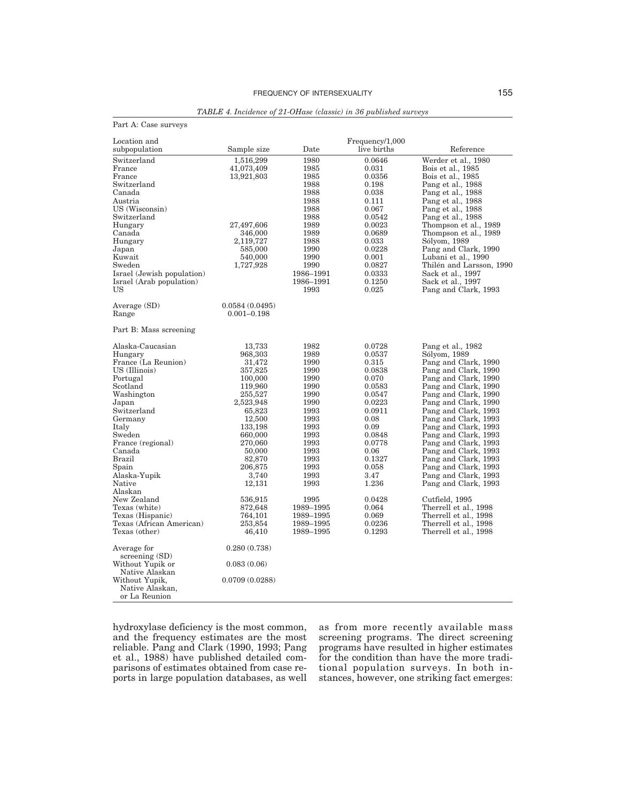| Part A: Case surveys       |                 |           |                 |                          |
|----------------------------|-----------------|-----------|-----------------|--------------------------|
| Location and               |                 |           | Frequency/1,000 |                          |
| subpopulation              | Sample size     | Date      | live births     | Reference                |
| Switzerland                | 1,516,299       | 1980      | 0.0646          | Werder et al., 1980      |
| France                     | 41,073,409      | 1985      | 0.031           | Bois et al., 1985        |
| France                     | 13,921,803      | 1985      | 0.0356          | Bois et al., 1985        |
| Switzerland                |                 | 1988      | 0.198           | Pang et al., 1988        |
| Canada                     |                 | 1988      | 0.038           | Pang et al., 1988        |
| Austria                    |                 | 1988      | 0.111           | Pang et al., 1988        |
| US(Wiscosin)               |                 | 1988      | 0.067           | Pang et al., 1988        |
| Switzerland                |                 | 1988      | 0.0542          | Pang et al., 1988        |
| Hungary                    | 27,497,606      | 1989      | 0.0023          | Thompson et al., 1989    |
| Canada                     | 346,000         | 1989      | 0.0689          | Thompson et al., 1989    |
| Hungary                    | 2,119,727       | 1988      | 0.033           | Sólyom, 1989             |
| Japan                      | 585,000         | 1990      | 0.0228          | Pang and Clark, 1990     |
| Kuwait                     | 540,000         | 1990      | 0.001           | Lubani et al., 1990      |
| Sweden                     | 1,727,928       | 1990      | 0.0827          | Thilén and Larsson, 1990 |
| Israel (Jewish population) |                 | 1986-1991 | 0.0333          | Sack et al., 1997        |
| Israel (Arab population)   |                 | 1986-1991 | 0.1250          | Sack et al., 1997        |
| US                         |                 | 1993      | 0.025           | Pang and Clark, 1993     |
|                            |                 |           |                 |                          |
| Average (SD)               | 0.0584(0.0495)  |           |                 |                          |
| Range                      | $0.001 - 0.198$ |           |                 |                          |
| Part B: Mass screening     |                 |           |                 |                          |
| Alaska-Caucasian           | 13,733          | 1982      | 0.0728          | Pang et al., 1982        |
| Hungary                    | 968,303         | 1989      | 0.0537          | Sólyom, 1989             |
| France (La Reunion)        | 31,472          | 1990      | 0.315           | Pang and Clark, 1990     |
| US (Illinois)              | 357,825         | 1990      | 0.0838          | Pang and Clark, 1990     |
| Portugal                   | 100,000         | 1990      | 0.070           | Pang and Clark, 1990     |
| Scotland                   | 119,960         | 1990      | 0.0583          | Pang and Clark, 1990     |
| Washington                 | 255,527         | 1990      | 0.0547          | Pang and Clark, 1990     |
| Japan                      | 2,523,948       | 1990      | 0.0223          | Pang and Clark, 1990     |
| Switzerland                | 65,823          | 1993      | 0.0911          | Pang and Clark, 1993     |
| Germany                    | 12,500          | 1993      | 0.08            | Pang and Clark, 1993     |
| Italy                      | 133,198         | 1993      | 0.09            | Pang and Clark, 1993     |
| Sweden                     | 660,000         | 1993      | 0.0848          | Pang and Clark, 1993     |
| France (regional)          | 270,060         | 1993      | 0.0778          | Pang and Clark, 1993     |
| Canada                     | 50,000          | 1993      | 0.06            | Pang and Clark, 1993     |
| <b>Brazil</b>              | 82,870          | 1993      | 0.1327          | Pang and Clark, 1993     |
| Spain                      | 206,875         | 1993      | 0.058           | Pang and Clark, 1993     |
| Alaska-Yupik               | 3,740           | 1993      | 3.47            | Pang and Clark, 1993     |
| Native                     | 12,131          | 1993      | 1.236           | Pang and Clark, 1993     |
| Alaskan                    |                 |           |                 |                          |
| New Zealand                | 536,915         | 1995      | 0.0428          | Cutfield, 1995           |
| Texas (white)              | 872,648         | 1989–1995 | 0.064           | Therrell et al., 1998    |
| Texas (Hispanic)           | 764,101         | 1989-1995 | 0.069           | Therrell et al., 1998    |
| Texas (African American)   | 253,854         | 1989–1995 | 0.0236          | Therrell et al., 1998    |
| Texas (other)              | 46,410          | 1989–1995 | 0.1293          | Therrell et al., 1998    |

*TABLE 4. Incidence of 21-OHase (classic) in 36 published surveys*

hydroxylase deficiency is the most common, and the frequency estimates are the most reliable. Pang and Clark (1990, 1993; Pang et al., 1988) have published detailed comparisons of estimates obtained from case reports in large population databases, as well

0.280 (0.738)

0.083 (0.06)

0.0709 (0.0288)

Average for screening (SD) Without Yupik or

Native Alaskan

Without Yupik, Native Alaskan, or La Reunion

> as from more recently available mass screening programs. The direct screening programs have resulted in higher estimates for the condition than have the more traditional population surveys. In both instances, however, one striking fact emerges: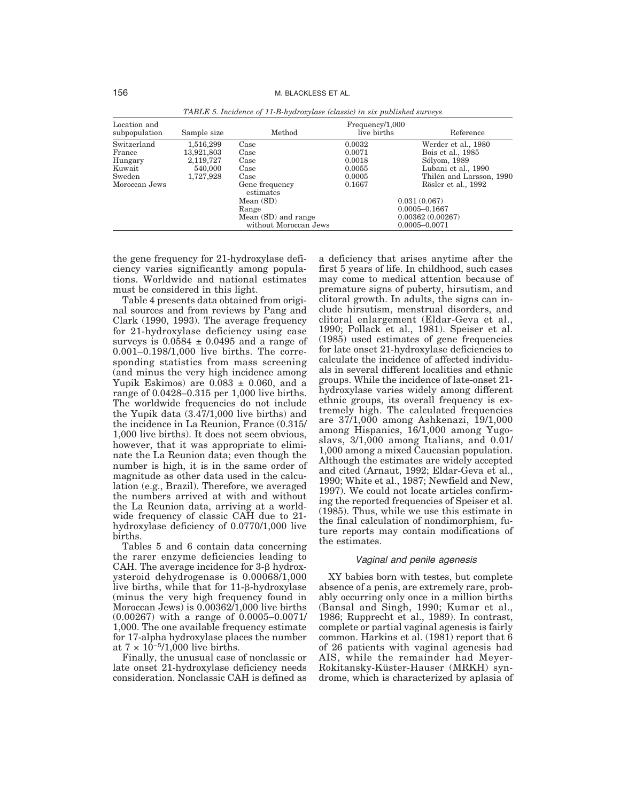| Location and<br>subpopulation | Sample size | Method                      | Frequency/1,000<br>live births | Reference                |
|-------------------------------|-------------|-----------------------------|--------------------------------|--------------------------|
| Switzerland                   | 1,516,299   | Case                        | 0.0032                         | Werder et al., 1980      |
| France                        | 13,921,803  | Case                        | 0.0071                         | Bois et al., 1985        |
| Hungary                       | 2,119,727   | Case                        | 0.0018                         | Sólyom, 1989             |
| Kuwait                        | 540,000     | Case                        | 0.0055                         | Lubani et al., 1990      |
| Sweden                        | 1,727,928   | Case                        | 0.0005                         | Thilén and Larsson, 1990 |
| Moroccan Jews                 |             | Gene frequency<br>estimates | 0.1667                         | Rösler et al., 1992      |
|                               |             | Mean $(SD)$                 |                                | 0.031(0.067)             |
|                               |             | Range                       |                                | $0.0005 - 0.1667$        |
|                               |             | Mean (SD) and range         |                                | 0.00362(0.00267)         |
|                               |             | without Moroccan Jews       |                                | $0.0005 - 0.0071$        |

*TABLE 5. Incidence of 11-B-hydroxylase (classic) in six published surveys*

the gene frequency for 21-hydroxylase deficiency varies significantly among populations. Worldwide and national estimates must be considered in this light.

Table 4 presents data obtained from original sources and from reviews by Pang and Clark (1990, 1993). The average frequency for 21-hydroxylase deficiency using case surveys is  $0.0584 \pm 0.0495$  and a range of 0.001–0.198/1,000 live births. The corresponding statistics from mass screening (and minus the very high incidence among Yupik Eskimos) are  $0.083 \pm 0.060$ , and a range of 0.0428–0.315 per 1,000 live births. The worldwide frequencies do not include the Yupik data (3.47/1,000 live births) and the incidence in La Reunion, France (0.315/ 1,000 live births). It does not seem obvious, however, that it was appropriate to eliminate the La Reunion data; even though the number is high, it is in the same order of magnitude as other data used in the calculation (e.g., Brazil). Therefore, we averaged the numbers arrived at with and without the La Reunion data, arriving at a worldwide frequency of classic CAH due to 21 hydroxylase deficiency of 0.0770/1,000 live births.

Tables 5 and 6 contain data concerning the rarer enzyme deficiencies leading to CAH. The average incidence for  $3-\beta$  hydroxysteroid dehydrogenase is 0.00068/1,000 live births, while that for 11-8-hydroxylase (minus the very high frequency found in Moroccan Jews) is 0.00362/1,000 live births (0.00267) with a range of 0.0005–0.0071/ 1,000. The one available frequency estimate for 17-alpha hydroxylase places the number at  $7 \times 10^{-5} / 1,000$  live births.

Finally, the unusual case of nonclassic or late onset 21-hydroxylase deficiency needs consideration. Nonclassic CAH is defined as a deficiency that arises anytime after the first 5 years of life. In childhood, such cases may come to medical attention because of premature signs of puberty, hirsutism, and clitoral growth. In adults, the signs can include hirsutism, menstrual disorders, and clitoral enlargement (Eldar-Geva et al., 1990; Pollack et al., 1981). Speiser et al. (1985) used estimates of gene frequencies for late onset 21-hydroxylase deficiencies to calculate the incidence of affected individuals in several different localities and ethnic groups. While the incidence of late-onset 21 hydroxylase varies widely among different ethnic groups, its overall frequency is extremely high. The calculated frequencies are 37/1,000 among Ashkenazi, 19/1,000 among Hispanics, 16/1,000 among Yugoslavs, 3/1,000 among Italians, and 0.01/ 1,000 among a mixed Caucasian population. Although the estimates are widely accepted and cited (Arnaut, 1992; Eldar-Geva et al., 1990; White et al., 1987; Newfield and New, 1997). We could not locate articles confirming the reported frequencies of Speiser et al. (1985). Thus, while we use this estimate in the final calculation of nondimorphism, future reports may contain modifications of the estimates.

### Vaginal and penile agenesis

XY babies born with testes, but complete absence of a penis, are extremely rare, probably occurring only once in a million births (Bansal and Singh, 1990; Kumar et al., 1986; Rupprecht et al., 1989). In contrast, complete or partial vaginal agenesis is fairly common. Harkins et al. (1981) report that 6 of 26 patients with vaginal agenesis had AIS, while the remainder had Meyer-Rokitansky-Küster-Hauser (MRKH) syndrome, which is characterized by aplasia of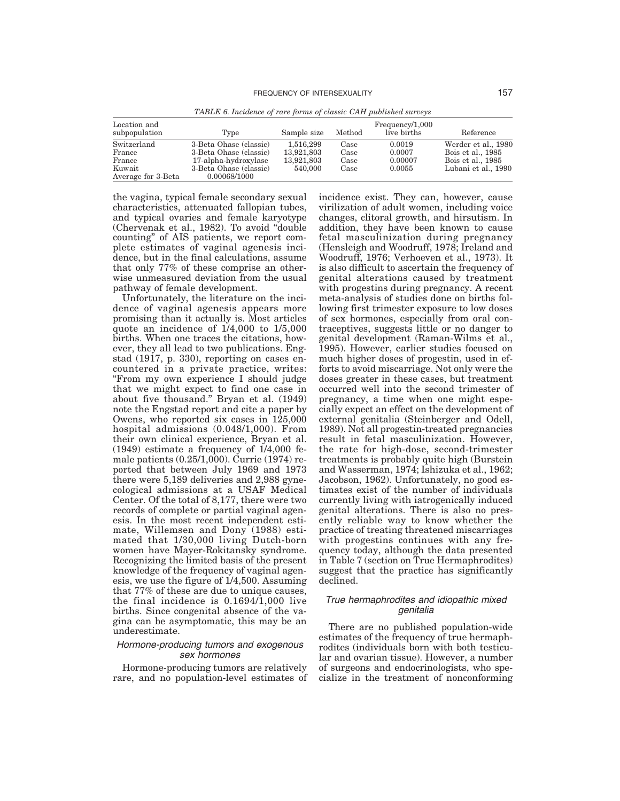| Location and<br>subpopulation | Type                   | Sample size | Method | Frequency/1,000<br>live births | Reference           |
|-------------------------------|------------------------|-------------|--------|--------------------------------|---------------------|
| Switzerland                   | 3-Beta Ohase (classic) | 1.516.299   | Case   | 0.0019                         | Werder et al., 1980 |
| France                        | 3-Beta Ohase (classic) | 13.921.803  | Case   | 0.0007                         | Bois et al., 1985   |
| France                        | 17-alpha-hydroxylase   | 13,921,803  | Case   | 0.00007                        | Bois et al., 1985   |
| Kuwait                        | 3-Beta Ohase (classic) | 540,000     | Case   | 0.0055                         | Lubani et al., 1990 |
| Average for 3-Beta            | 0.00068/1000           |             |        |                                |                     |

*TABLE 6. Incidence of rare forms of classic CAH published surveys*

the vagina, typical female secondary sexual characteristics, attenuated fallopian tubes, and typical ovaries and female karyotype (Chervenak et al., 1982). To avoid "double counting" of AIS patients, we report complete estimates of vaginal agenesis incidence, but in the final calculations, assume that only 77% of these comprise an otherwise unmeasured deviation from the usual pathway of female development.

Unfortunately, the literature on the incidence of vaginal agenesis appears more promising than it actually is. Most articles quote an incidence of 1/4,000 to 1/5,000 births. When one traces the citations, however, they all lead to two publications. Engstad (1917, p. 330), reporting on cases encountered in a private practice, writes: "From my own experience I should judge that we might expect to find one case in about five thousand." Bryan et al. (1949) note the Engstad report and cite a paper by Owens, who reported six cases in 125,000 hospital admissions (0.048/1,000). From their own clinical experience, Bryan et al. (1949) estimate a frequency of 1/4,000 female patients (0.25/1,000). Currie (1974) reported that between July 1969 and 1973 there were 5,189 deliveries and 2,988 gynecological admissions at a USAF Medical Center. Of the total of 8,177, there were two records of complete or partial vaginal agenesis. In the most recent independent estimate, Willemsen and Dony (1988) estimated that 1/30,000 living Dutch-born women have Mayer-Rokitansky syndrome. Recognizing the limited basis of the present knowledge of the frequency of vaginal agenesis, we use the figure of 1/4,500. Assuming that 77% of these are due to unique causes, the final incidence is  $0.1694/1,000$  live births. Since congenital absence of the vagina can be asymptomatic, this may be an underestimate.

# Hormone-producing tumors and exogenous sex hormones

Hormone-producing tumors are relatively rare, and no population-level estimates of incidence exist. They can, however, cause virilization of adult women, including voice changes, clitoral growth, and hirsutism. In addition, they have been known to cause fetal masculinization during pregnancy (Hensleigh and Woodruff, 1978; Ireland and Woodruff, 1976; Verhoeven et al., 1973). It is also difficult to ascertain the frequency of genital alterations caused by treatment with progestins during pregnancy. A recent meta-analysis of studies done on births following first trimester exposure to low doses of sex hormones, especially from oral contraceptives, suggests little or no danger to genital development (Raman-Wilms et al., 1995). However, earlier studies focused on much higher doses of progestin, used in efforts to avoid miscarriage. Not only were the doses greater in these cases, but treatment occurred well into the second trimester of pregnancy, a time when one might especially expect an effect on the development of external genitalia (Steinberger and Odell, 1989). Not all progestin-treated pregnancies result in fetal masculinization. However, the rate for high-dose, second-trimester treatments is probably quite high (Burstein and Wasserman, 1974; Ishizuka et al., 1962; Jacobson, 1962). Unfortunately, no good estimates exist of the number of individuals currently living with iatrogenically induced genital alterations. There is also no presently reliable way to know whether the practice of treating threatened miscarriages with progestins continues with any frequency today, although the data presented in Table 7 (section on True Hermaphrodites) suggest that the practice has significantly declined.

# True hermaphrodites and idiopathic mixed genitalia

There are no published population-wide estimates of the frequency of true hermaphrodites (individuals born with both testicular and ovarian tissue). However, a number of surgeons and endocrinologists, who specialize in the treatment of nonconforming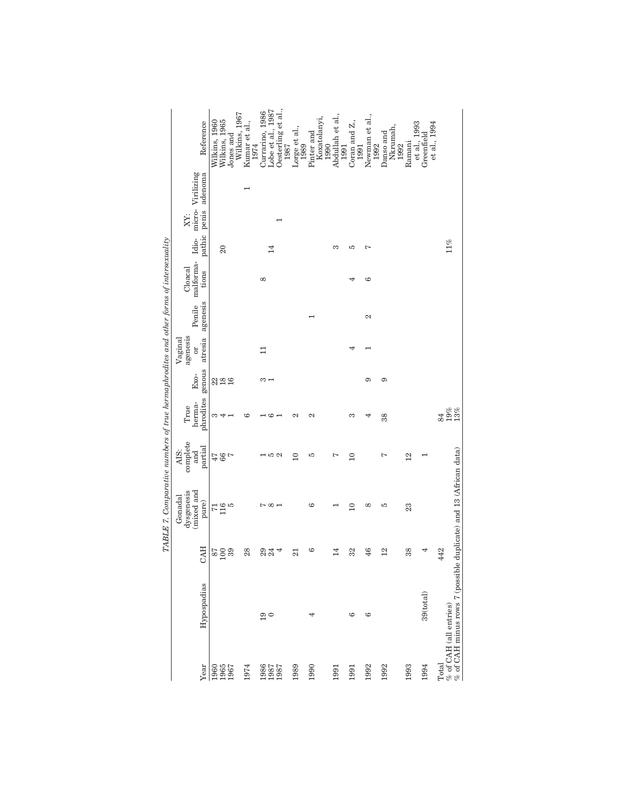|                      |                                                              |                                          | TABLE 7. Comparative numbers of true hermaphrodites and other forms of intersexuality |                  |                            |              |                           |                    |                    |                 |       |                                    |                            |
|----------------------|--------------------------------------------------------------|------------------------------------------|---------------------------------------------------------------------------------------|------------------|----------------------------|--------------|---------------------------|--------------------|--------------------|-----------------|-------|------------------------------------|----------------------------|
|                      |                                                              |                                          | dysgenesis<br>Gonadal                                                                 | complete<br>AIS: | True                       |              | agenesis<br>Vagina        |                    | Cloacal            |                 | XY:   |                                    |                            |
| Year                 | Hypospadias                                                  | <b>CAH</b>                               | (mixed and<br>pure)                                                                   | partial<br>and   | phrodites genous<br>herma- | Exo-         | atresia<br>$\overline{0}$ | agenesis<br>Penile | malforma-<br>tions | pathic          | penis | Idio- micro- Virilizing<br>adenoma | Reference                  |
| 1960<br>1965<br>1967 |                                                              | $\begin{array}{c} 87 \\ 100 \end{array}$ | $716\n5$                                                                              | $780 + 7$        | ಣ ಈ ⊣                      | 2890         |                           |                    |                    |                 |       |                                    | Wilkins, 1960              |
|                      |                                                              |                                          |                                                                                       |                  |                            |              |                           |                    |                    | $\overline{20}$ |       |                                    | Wilkins, 1965              |
|                      |                                                              | 39                                       |                                                                                       |                  |                            |              |                           |                    |                    |                 |       |                                    | Wilkins, 1967<br>Jones and |
| 1974                 |                                                              | 28                                       |                                                                                       |                  | అ                          |              |                           |                    |                    |                 |       |                                    | Kumar et al.,<br>1974      |
|                      |                                                              |                                          |                                                                                       |                  |                            |              | $\Xi$                     |                    | $^{\circ}$         |                 |       |                                    | Currarino, 1986            |
| 1986<br>1987<br>1987 | $\frac{5}{10}$                                               | 24                                       | $\sim \infty$ $\sim$                                                                  | ⊣ລα              | + ಅ −                      | $\infty$ $-$ |                           |                    |                    | $\overline{14}$ |       |                                    | Lobe et al., 1987          |
|                      |                                                              | 4                                        |                                                                                       |                  |                            |              |                           |                    |                    |                 |       |                                    | Oesterling et al.,<br>1987 |
| 1989                 |                                                              | $\overline{21}$                          |                                                                                       | $\overline{10}$  | 2                          |              |                           |                    |                    |                 |       |                                    |                            |
|                      |                                                              |                                          |                                                                                       |                  |                            |              |                           |                    |                    |                 |       |                                    | Lorge et al., $1989$       |
| 1990                 | 4                                                            | అ                                        | అ                                                                                     | S                | 2                          |              |                           |                    |                    |                 |       |                                    | Pinter and                 |
|                      |                                                              |                                          |                                                                                       |                  |                            |              |                           |                    |                    |                 |       |                                    | Koxatolanyi,               |
|                      |                                                              |                                          |                                                                                       |                  |                            |              |                           |                    |                    |                 |       |                                    | 1990                       |
| 1991                 |                                                              | $\overline{4}$                           |                                                                                       | Ņ                |                            |              |                           |                    |                    | S               |       |                                    | Abdullah et al.,<br>1991   |
| 1991                 | G                                                            | 32                                       | $\overline{10}$                                                                       | $\overline{10}$  | S                          |              | 4                         |                    |                    | S               |       |                                    | Coran and $Z$ .,           |
|                      |                                                              |                                          |                                                                                       |                  |                            |              |                           |                    |                    |                 |       |                                    | 1991                       |
| 1992                 | ల                                                            | 46                                       | $^{\circ}$                                                                            |                  | 4                          | ာ            |                           | 2                  | ల                  | Ľ               |       |                                    | Newman et al.,<br>1992     |
| 1992                 |                                                              | $^{12}$                                  | S                                                                                     | Ľ                | 38                         | $\sigma$     |                           |                    |                    |                 |       |                                    | Danso and                  |
|                      |                                                              |                                          |                                                                                       |                  |                            |              |                           |                    |                    |                 |       |                                    | Nkrumah,                   |
|                      |                                                              |                                          |                                                                                       |                  |                            |              |                           |                    |                    |                 |       |                                    | 1992                       |
| 1993                 |                                                              | 38                                       | 23                                                                                    | $\frac{2}{3}$    |                            |              |                           |                    |                    |                 |       |                                    | Ramani                     |
| 1994                 | 39(tota1)                                                    | 4                                        |                                                                                       |                  |                            |              |                           |                    |                    |                 |       |                                    | et al., 1993<br>Greenfield |
|                      |                                                              |                                          |                                                                                       |                  |                            |              |                           |                    |                    |                 |       |                                    | et al., 1994               |
| Total                |                                                              | 442                                      |                                                                                       |                  | 84                         |              |                           |                    |                    |                 |       |                                    |                            |
|                      | $\%$ of CAH (all entries) $\%$ of CAH minus rows 7 (possible |                                          | duplicate) and 13 (African data)                                                      |                  | $19%$<br>$13%$             |              |                           |                    |                    | 11%             |       |                                    |                            |
|                      |                                                              |                                          |                                                                                       |                  |                            |              |                           |                    |                    |                 |       |                                    |                            |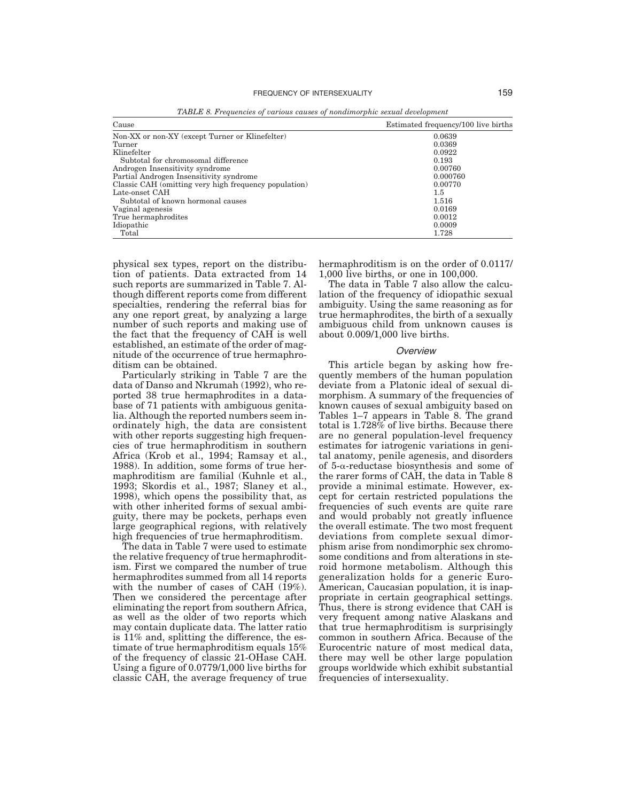| Cause                                                 | Estimated frequency/100 live births |
|-------------------------------------------------------|-------------------------------------|
| Non-XX or non-XY (except Turner or Klinefelter)       | 0.0639                              |
| Turner                                                | 0.0369                              |
| Klinefelter                                           | 0.0922                              |
| Subtotal for chromosomal difference                   | 0.193                               |
| Androgen Insensitivity syndrome                       | 0.00760                             |
| Partial Androgen Insensitivity syndrome               | 0.000760                            |
| Classic CAH (omitting very high frequency population) | 0.00770                             |
| Late-onset CAH                                        | 1.5                                 |
| Subtotal of known hormonal causes                     | 1.516                               |
| Vaginal agenesis                                      | 0.0169                              |
| True hermaphrodites                                   | 0.0012                              |
| Idiopathic                                            | 0.0009                              |
| Total                                                 | 1.728                               |

*TABLE 8. Frequencies of various causes of nondimorphic sexual development*

physical sex types, report on the distribution of patients. Data extracted from 14 such reports are summarized in Table 7. Although different reports come from different specialties, rendering the referral bias for any one report great, by analyzing a large number of such reports and making use of the fact that the frequency of CAH is well established, an estimate of the order of magnitude of the occurrence of true hermaphroditism can be obtained.

Particularly striking in Table 7 are the data of Danso and Nkrumah (1992), who reported 38 true hermaphrodites in a database of 71 patients with ambiguous genitalia. Although the reported numbers seem inordinately high, the data are consistent with other reports suggesting high frequencies of true hermaphroditism in southern Africa (Krob et al., 1994; Ramsay et al., 1988). In addition, some forms of true hermaphroditism are familial (Kuhnle et al., 1993; Skordis et al., 1987; Slaney et al., 1998), which opens the possibility that, as with other inherited forms of sexual ambiguity, there may be pockets, perhaps even large geographical regions, with relatively high frequencies of true hermaphroditism.

The data in Table 7 were used to estimate the relative frequency of true hermaphroditism. First we compared the number of true hermaphrodites summed from all 14 reports with the number of cases of CAH  $(19\%)$ . Then we considered the percentage after eliminating the report from southern Africa, as well as the older of two reports which may contain duplicate data. The latter ratio is 11% and, splitting the difference, the estimate of true hermaphroditism equals 15% of the frequency of classic 21-OHase CAH. Using a figure of 0.0779/1,000 live births for classic CAH, the average frequency of true hermaphroditism is on the order of 0.0117/ 1,000 live births, or one in 100,000.

The data in Table 7 also allow the calculation of the frequency of idiopathic sexual ambiguity. Using the same reasoning as for true hermaphrodites, the birth of a sexually ambiguous child from unknown causes is about 0.009/1,000 live births.

#### **Overview**

This article began by asking how frequently members of the human population deviate from a Platonic ideal of sexual dimorphism. A summary of the frequencies of known causes of sexual ambiguity based on Tables 1–7 appears in Table 8. The grand total is  $1.728\%$  of live births. Because there are no general population-level frequency estimates for iatrogenic variations in genital anatomy, penile agenesis, and disorders of  $5-\alpha$ -reductase biosynthesis and some of the rarer forms of CAH, the data in Table 8 provide a minimal estimate. However, except for certain restricted populations the frequencies of such events are quite rare and would probably not greatly influence the overall estimate. The two most frequent deviations from complete sexual dimorphism arise from nondimorphic sex chromosome conditions and from alterations in steroid hormone metabolism. Although this generalization holds for a generic Euro-American, Caucasian population, it is inappropriate in certain geographical settings. Thus, there is strong evidence that CAH is very frequent among native Alaskans and that true hermaphroditism is surprisingly common in southern Africa. Because of the Eurocentric nature of most medical data, there may well be other large population groups worldwide which exhibit substantial frequencies of intersexuality.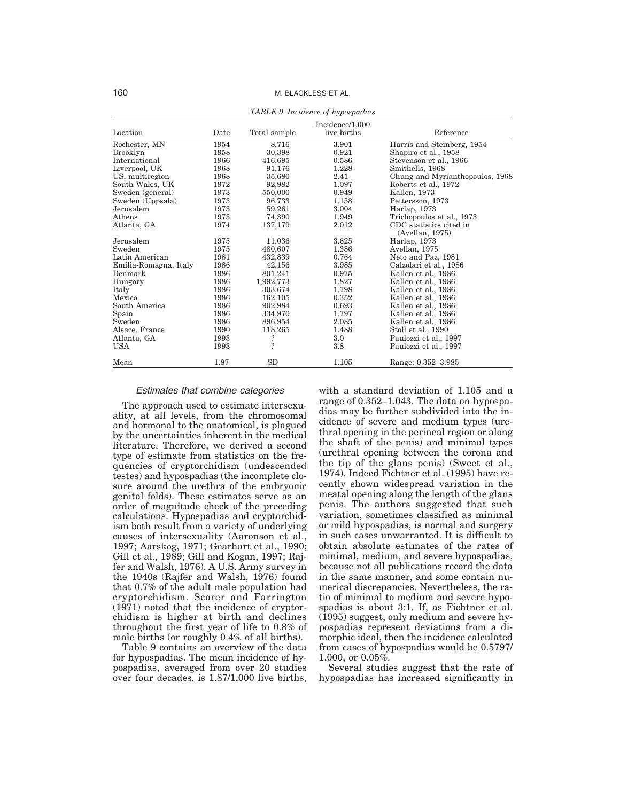|                       |      |              | <b>Tribule</b> v. Includitie of hyposputhus |                                               |
|-----------------------|------|--------------|---------------------------------------------|-----------------------------------------------|
| Location              | Date | Total sample | Incidence/1,000<br>live births              | Reference                                     |
| Rochester, MN         | 1954 | 8,716        | 3.901                                       | Harris and Steinberg, 1954                    |
| Brooklyn              | 1958 | 30,398       | 0.921                                       | Shapiro et al., 1958                          |
| International         | 1966 | 416,695      | 0.586                                       | Stevenson et al., 1966                        |
| Liverpool, UK         | 1968 | 91,176       | 1.228                                       | Smithells, 1968                               |
| US, multiregion       | 1968 | 35,680       | 2.41                                        | Chung and Myrianthopoulos, 1968               |
| South Wales, UK       | 1972 | 92,982       | 1.097                                       | Roberts et al., 1972                          |
| Sweden (general)      | 1973 | 550,000      | 0.949                                       | Kallen, 1973                                  |
| Sweden (Uppsala)      | 1973 | 96,733       | 1.158                                       | Pettersson, 1973                              |
| Jerusalem             | 1973 | 59,261       | 3.004                                       | Harlap, 1973                                  |
| Athens                | 1973 | 74,390       | 1.949                                       | Trichopoulos et al., 1973                     |
| Atlanta, GA           | 1974 | 137,179      | 2.012                                       | CDC statistics cited in<br>$(A$ vellan, 1975) |
| Jerusalem             | 1975 | 11,036       | 3.625                                       | Harlap, 1973                                  |
| Sweden                | 1975 | 480,607      | 1.386                                       | Avellan, 1975                                 |
| Latin American        | 1981 | 432,839      | 0.764                                       | Neto and Paz, 1981                            |
| Emilia-Romagna, Italy | 1986 | 42,156       | 3.985                                       | Calzolari et al., 1986                        |
| Denmark               | 1986 | 801,241      | 0.975                                       | Kallen et al., 1986                           |
| Hungary               | 1986 | 1,992,773    | 1.827                                       | Kallen et al., 1986                           |
| Italy                 | 1986 | 303,674      | 1.798                                       | Kallen et al., 1986                           |
| Mexico                | 1986 | 162,105      | 0.352                                       | Kallen et al., 1986                           |
| South America         | 1986 | 902,984      | 0.693                                       | Kallen et al., 1986                           |
| Spain                 | 1986 | 334,970      | 1.797                                       | Kallen et al., 1986                           |
| Sweden                | 1986 | 896.954      | 2.085                                       | Kallen et al., 1986                           |
| Alsace, France        | 1990 | 118,265      | 1.488                                       | Stoll et al., 1990                            |
| Atlanta, GA           | 1993 | ?            | 3.0                                         | Paulozzi et al., 1997                         |
| <b>USA</b>            | 1993 | ?            | 3.8                                         | Paulozzi et al., 1997                         |
| Mean                  | 1.87 | SD           | 1.105                                       | Range: 0.352-3.985                            |

#### *TABLE 9. Incidence of hypospadias*

# Estimates that combine categories

The approach used to estimate intersexuality, at all levels, from the chromosomal and hormonal to the anatomical, is plagued by the uncertainties inherent in the medical literature. Therefore, we derived a second type of estimate from statistics on the frequencies of cryptorchidism (undescended testes) and hypospadias (the incomplete closure around the urethra of the embryonic genital folds). These estimates serve as an order of magnitude check of the preceding calculations. Hypospadias and cryptorchidism both result from a variety of underlying causes of intersexuality (Aaronson et al., 1997; Aarskog, 1971; Gearhart et al., 1990; Gill et al., 1989; Gill and Kogan, 1997; Rajfer and Walsh, 1976). A U.S. Army survey in the 1940s (Rajfer and Walsh, 1976) found that 0.7% of the adult male population had cryptorchidism. Scorer and Farrington (1971) noted that the incidence of cryptorchidism is higher at birth and declines throughout the first year of life to 0.8% of male births (or roughly 0.4% of all births).

Table 9 contains an overview of the data for hypospadias. The mean incidence of hypospadias, averaged from over 20 studies over four decades, is 1.87/1,000 live births, with a standard deviation of 1.105 and a range of 0.352–1.043. The data on hypospadias may be further subdivided into the incidence of severe and medium types (urethral opening in the perineal region or along the shaft of the penis) and minimal types (urethral opening between the corona and the tip of the glans penis) (Sweet et al., 1974). Indeed Fichtner et al. (1995) have recently shown widespread variation in the meatal opening along the length of the glans penis. The authors suggested that such variation, sometimes classified as minimal or mild hypospadias, is normal and surgery in such cases unwarranted. It is difficult to obtain absolute estimates of the rates of minimal, medium, and severe hypospadias, because not all publications record the data in the same manner, and some contain numerical discrepancies. Nevertheless, the ratio of minimal to medium and severe hypospadias is about 3:1. If, as Fichtner et al. (1995) suggest, only medium and severe hypospadias represent deviations from a dimorphic ideal, then the incidence calculated from cases of hypospadias would be 0.5797/ 1,000, or 0.05%.

Several studies suggest that the rate of hypospadias has increased significantly in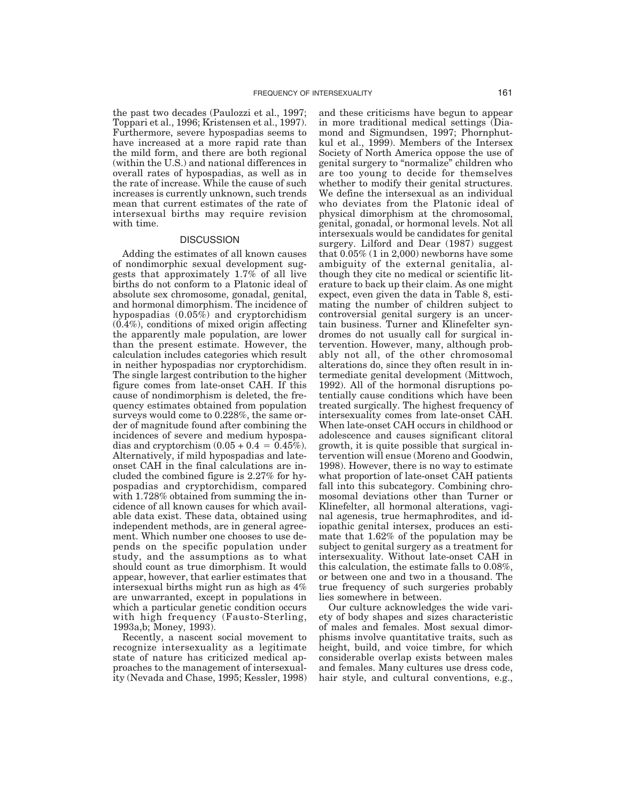the past two decades (Paulozzi et al., 1997; Toppari et al., 1996; Kristensen et al., 1997). Furthermore, severe hypospadias seems to have increased at a more rapid rate than the mild form, and there are both regional (within the U.S.) and national differences in overall rates of hypospadias, as well as in the rate of increase. While the cause of such increases is currently unknown, such trends mean that current estimates of the rate of intersexual births may require revision with time.

# **DISCUSSION**

Adding the estimates of all known causes of nondimorphic sexual development suggests that approximately 1.7% of all live births do not conform to a Platonic ideal of absolute sex chromosome, gonadal, genital, and hormonal dimorphism. The incidence of hypospadias (0.05%) and cryptorchidism (0.4%), conditions of mixed origin affecting the apparently male population, are lower than the present estimate. However, the calculation includes categories which result in neither hypospadias nor cryptorchidism. The single largest contribution to the higher figure comes from late-onset CAH. If this cause of nondimorphism is deleted, the frequency estimates obtained from population surveys would come to 0.228%, the same order of magnitude found after combining the incidences of severe and medium hypospadias and cryptorchism  $(0.05 + 0.4 = 0.45\%)$ . Alternatively, if mild hypospadias and lateonset CAH in the final calculations are included the combined figure is 2.27% for hypospadias and cryptorchidism, compared with 1.728% obtained from summing the incidence of all known causes for which available data exist. These data, obtained using independent methods, are in general agreement. Which number one chooses to use depends on the specific population under study, and the assumptions as to what should count as true dimorphism. It would appear, however, that earlier estimates that intersexual births might run as high as 4% are unwarranted, except in populations in which a particular genetic condition occurs with high frequency (Fausto-Sterling, 1993a,b; Money, 1993).

Recently, a nascent social movement to recognize intersexuality as a legitimate state of nature has criticized medical approaches to the management of intersexuality (Nevada and Chase, 1995; Kessler, 1998) and these criticisms have begun to appear in more traditional medical settings (Diamond and Sigmundsen, 1997; Phornphutkul et al., 1999). Members of the Intersex Society of North America oppose the use of genital surgery to "normalize" children who are too young to decide for themselves whether to modify their genital structures. We define the intersexual as an individual who deviates from the Platonic ideal of physical dimorphism at the chromosomal, genital, gonadal, or hormonal levels. Not all intersexuals would be candidates for genital surgery. Lilford and Dear (1987) suggest that 0.05% (1 in 2,000) newborns have some ambiguity of the external genitalia, although they cite no medical or scientific literature to back up their claim. As one might expect, even given the data in Table 8, estimating the number of children subject to controversial genital surgery is an uncertain business. Turner and Klinefelter syndromes do not usually call for surgical intervention. However, many, although probably not all, of the other chromosomal alterations do, since they often result in intermediate genital development (Mittwoch, 1992). All of the hormonal disruptions potentially cause conditions which have been treated surgically. The highest frequency of intersexuality comes from late-onset CAH. When late-onset CAH occurs in childhood or adolescence and causes significant clitoral growth, it is quite possible that surgical intervention will ensue (Moreno and Goodwin, 1998). However, there is no way to estimate what proportion of late-onset CAH patients fall into this subcategory. Combining chromosomal deviations other than Turner or Klinefelter, all hormonal alterations, vaginal agenesis, true hermaphrodites, and idiopathic genital intersex, produces an estimate that 1.62% of the population may be subject to genital surgery as a treatment for intersexuality. Without late-onset CAH in this calculation, the estimate falls to 0.08%, or between one and two in a thousand. The true frequency of such surgeries probably lies somewhere in between.

Our culture acknowledges the wide variety of body shapes and sizes characteristic of males and females. Most sexual dimorphisms involve quantitative traits, such as height, build, and voice timbre, for which considerable overlap exists between males and females. Many cultures use dress code, hair style, and cultural conventions, e.g.,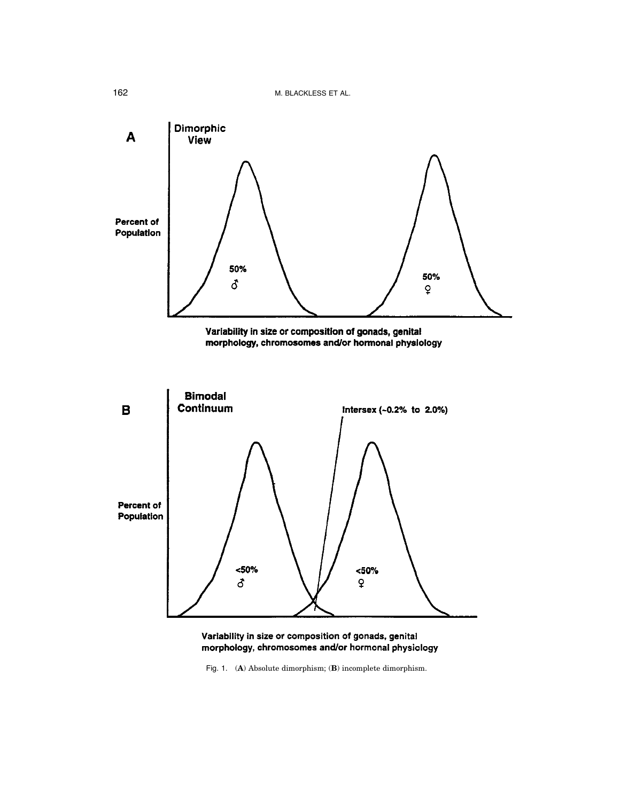

Variability in size or composition of gonads, genital morphology, chromosomes and/or hormonal physiology

Fig. 1. (**A**) Absolute dimorphism; (**B**) incomplete dimorphism.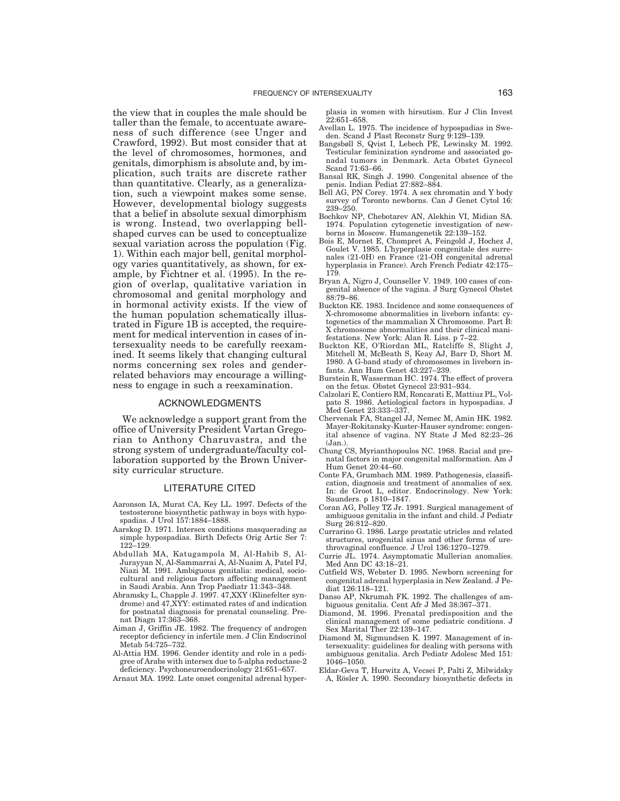the view that in couples the male should be taller than the female, to accentuate awareness of such difference (see Unger and Crawford, 1992). But most consider that at the level of chromosomes, hormones, and genitals, dimorphism is absolute and, by implication, such traits are discrete rather than quantitative. Clearly, as a generalization, such a viewpoint makes some sense. However, developmental biology suggests that a belief in absolute sexual dimorphism is wrong. Instead, two overlapping bellshaped curves can be used to conceptualize sexual variation across the population (Fig. 1). Within each major bell, genital morphology varies quantitatively, as shown, for example, by Fichtner et al. (1995). In the region of overlap, qualitative variation in chromosomal and genital morphology and in hormonal activity exists. If the view of the human population schematically illustrated in Figure 1B is accepted, the requirement for medical intervention in cases of intersexuality needs to be carefully reexamined. It seems likely that changing cultural norms concerning sex roles and genderrelated behaviors may encourage a willingness to engage in such a reexamination.

#### ACKNOWLEDGMENTS

We acknowledge a support grant from the office of University President Vartan Gregorian to Anthony Charuvastra, and the strong system of undergraduate/faculty collaboration supported by the Brown University curricular structure.

### LITERATURE CITED

- Aaronson IA, Murat CA, Key LL. 1997. Defects of the testosterone biosynthetic pathway in boys with hypospadias. J Urol 157:1884–1888.
- Aarskog D. 1971. Intersex conditions masquerading as simple hypospadias. Birth Defects Orig Artic Ser 7: 122–129.
- Abdullah MA, Katugampola M, Al-Habib S, Al-Jurayyan N, Al-Sammarrai A, Al-Nuaim A, Patel PJ, Niazi M. 1991. Ambiguous genitalia: medical, sociocultural and religious factors affecting management in Saudi Arabia. Ann Trop Paediatr 11:343–348.
- Abramsky L, Chapple J. 1997. 47,XXY (Klinefelter syndrome) and 47,XYY: estimated rates of and indication for postnatal diagnosis for prenatal counseling. Prenat Diagn 17:363–368.
- Aiman J, Griffin JE. 1982. The frequency of androgen receptor deficiency in infertile men. J Clin Endocrinol Metab 54:725–732.
- Al-Attia HM. 1996. Gender identity and role in a pedigree of Arabs with intersex due to 5-alpha reductase-2 deficiency. Psychoneuroendocrinology 21:651–657.
- Arnaut MA. 1992. Late onset congenital adrenal hyper-

plasia in women with hirsutism. Eur J Clin Invest 22:651–658.

- Avellan L. 1975. The incidence of hypospadias in Sweden. Scand J Plast Reconstr Surg 9:129-139.
- Bangsbøll S, Qvist I, Lebech PE, Lewinsky M. 1992. Testicular feminization syndrome and associated gonadal tumors in Denmark. Acta Obstet Gynecol Scand 71:63–66.
- Bansal RK, Singh J. 1990. Congenital absence of the penis. Indian Pediat 27:882–884.
- Bell AG, PN Corey. 1974. A sex chromatin and Y body survey of Toronto newborns. Can J Genet Cytol 16: 239–250.
- Bochkov NP, Chebotarev AN, Alekhin VI, Midian SA. 1974. Population cytogenetic investigation of newborns in Moscow. Humangenetik 22:139–152.
- Bois E, Mornet E, Chompret A, Feingold J, Hochez J, Goulet V. 1985. L'hyperplasie congenitale des surrenales (21-0H) en France (21-OH congenital adrenal hyperplasia in France). Arch French Pediatr 42:175– 179.
- Bryan A, Nigro J, Counseller V. 1949. 100 cases of congenital absence of the vagina. J Surg Gynecol Obstet 88:79–86.
- Buckton KE. 1983. Incidence and some consequences of X-chromosome abnormalities in liveborn infants: cytogenetics of the mammalian X Chromosome. Part B: X chromosome abnormalities and their clinical manifestations. New York: Alan R. Liss. p 7–22.
- Buckton KE, O'Riordan ML, Ratcliffe S, Slight J, Mitchell M, McBeath S, Keay AJ, Barr D, Short M. 1980. A G-band study of chromosomes in liveborn infants. Ann Hum Genet 43:227–239.
- Burstein R, Wasserman HC. 1974. The effect of provera on the fetus. Obstet Gynecol 23:931–934.
- Calzolari E, Contiero RM, Roncarati E, Mattiuz PL, Volpato S. 1986. Aetiological factors in hypospadias. J Med Genet 23:333–337.
- Chervenak FA, Stangel JJ, Nemec M, Amin HK. 1982. Mayer-Rokitansky-Kuster-Hauser syndrome: congenital absence of vagina. NY State J Med 82:23–26 (Jan.).
- Chung CS, Myrianthopoulos NC. 1968. Racial and prenatal factors in major congenital malformation. Am J Hum Genet 20:44–60.
- Conte FA, Grumbach MM. 1989. Pathogenesis, classification, diagnosis and treatment of anomalies of sex. In: de Groot L, editor. Endocrinology. New York: Saunders. p 1810–1847.
- Coran AG, Polley TZ Jr. 1991. Surgical management of ambiguous genitalia in the infant and child. J Pediatr Surg 26:812–820.
- Currarino G. 1986. Large prostatic utricles and related structures, urogenital sinus and other forms of urethrovaginal confluence. J Urol 136:1270–1279.
- Currie JL. 1974. Asymptomatic Mullerian anomalies. Med Ann DC 43:18–21.
- Cutfield WS, Webster D. 1995. Newborn screening for congenital adrenal hyperplasia in New Zealand. J Pediat 126:118–121.
- Danso AP, Nkrumah FK. 1992. The challenges of ambiguous genitalia. Cent Afr J Med 38:367–371.
- Diamond, M. 1996. Prenatal predisposition and the clinical management of some pediatric conditions. J Sex Marital Ther 22:139–147.
- Diamond M, Sigmundsen K. 1997. Management of intersexuality: guidelines for dealing with persons with ambiguous genitalia. Arch Pediatr Adolesc Med 151: 1046–1050.
- Eldar-Geva T, Hurwitz A, Vecsei P, Palti Z, Milwidsky A, Rösler A. 1990. Secondary biosynthetic defects in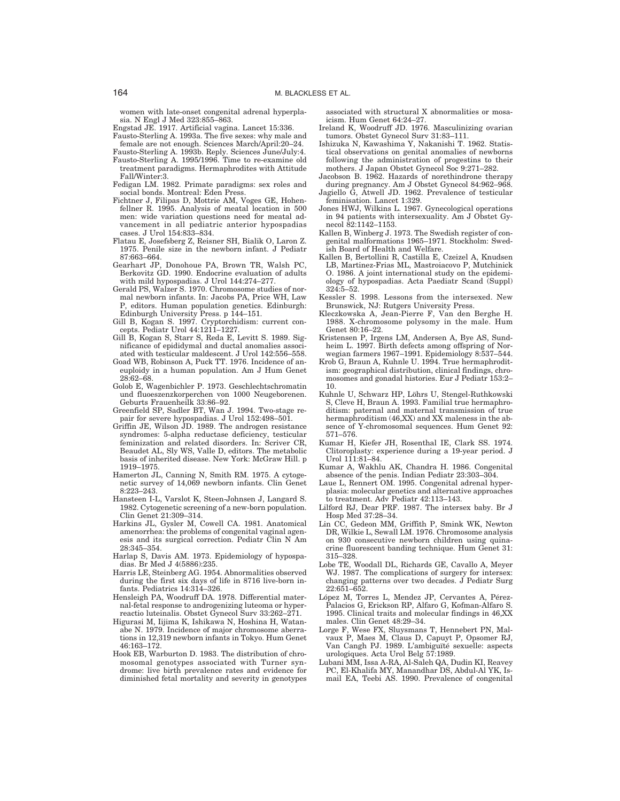women with late-onset congenital adrenal hyperplasia. N Engl J Med 323:855–863.

- Engstad JE. 1917. Artificial vagina. Lancet 15:336. Fausto-Sterling A. 1993a. The five sexes: why male and
- female are not enough. Sciences March/April:20–24. Fausto-Sterling A. 1993b. Reply. Sciences June/July:4.
- Fausto-Sterling A. 1995/1996. Time to re-examine old treatment paradigms. Hermaphrodites with Attitude Fall/Winter:3.
- Fedigan LM. 1982. Primate paradigms: sex roles and social bonds. Montreal: Eden Press.
- Fichtner J, Filipas D, Mottrie AM, Voges GE, Hohenfellner R. 1995. Analysis of meatal location in 500 men: wide variation questions need for meatal advancement in all pediatric anterior hypospadias cases. J Urol 154:833–834.
- Flatau E, Josefsberg Z, Reisner SH, Bialik O, Laron Z. 1975. Penile size in the newborn infant. J Pediatr 87:663–664.
- Gearhart JP, Donohoue PA, Brown TR, Walsh PC, Berkovitz GD. 1990. Endocrine evaluation of adults with mild hypospadias. J Urol 144:274–277.
- Gerald PS, Walzer S. 1970. Chromosome studies of normal newborn infants. In: Jacobs PA, Price WH, Law P, editors. Human population genetics. Edinburgh: Edinburgh University Press. p 144–151.
- Gill B, Kogan S. 1997. Cryptorchidism: current concepts. Pediatr Urol 44:1211–1227.
- Gill B, Kogan S, Starr S, Reda E, Levitt S. 1989. Significance of epididymal and ductal anomalies associated with testicular maldescent. J Urol 142:556–558.
- Goad WB, Robinson A, Puck TT. 1976. Incidence of aneuploidy in a human population. Am J Hum Genet 28:62–68.
- Golob E, Wagenbichler P. 1973. Geschlechtschromatin und fluoeszenzkorperchen von 1000 Neugeborenen. Geburts Frauenheilk 33:86–92.
- Greenfield SP, Sadler BT, Wan J. 1994. Two-stage repair for severe hypospadias. J Urol 152:498–501.
- Griffin JE, Wilson JD. 1989. The androgen resistance syndromes: 5-alpha reductase deficiency, testicular feminization and related disorders. In: Scriver CR, Beaudet AL, Sly WS, Valle D, editors. The metabolic basis of inherited disease. New York: McGraw Hill. p 1919–1975.
- Hamerton JL, Canning N, Smith RM. 1975. A cytogenetic survey of 14,069 newborn infants. Clin Genet 8:223–243.
- Hansteen I-L, Varslot K, Steen-Johnsen J, Langard S. 1982. Cytogenetic screening of a new-born population. Clin Genet 21:309–314.
- Harkins JL, Gysler M, Cowell CA. 1981. Anatomical amenorrhea: the problems of congenital vaginal agenesis and its surgical correction. Pediatr Clin N Am 28:345–354.
- Harlap S, Davis AM. 1973. Epidemiology of hypospa-dias. Br Med J 4(5886):235.
- Harris LE, Steinberg AG. 1954. Abnormalities observed during the first six days of life in 8716 live-born infants. Pediatrics 14:314–326.
- Hensleigh PA, Woodruff DA. 1978. Differential maternal-fetal response to androgenizing luteoma or hyperreactio luteinalis. Obstet Gynecol Surv 33:262–271.
- Higurasi M, Iijima K, Ishikawa N, Hoshina H, Watanabe N. 1979. Incidence of major chromosome aberrations in 12,319 newborn infants in Tokyo. Hum Genet 46:163–172.
- Hook EB, Warburton D. 1983. The distribution of chromosomal genotypes associated with Turner syndrome: live birth prevalence rates and evidence for diminished fetal mortality and severity in genotypes

associated with structural X abnormalities or mosaicism. Hum Genet 64:24–27.

- Ireland K, Woodruff JD. 1976. Masculinizing ovarian tumors. Obstet Gynecol Surv 31:83–111.
- Ishizuka N, Kawashima Y, Nakanishi T. 1962. Statistical observations on genital anomalies of newborns following the administration of progestins to their mothers. J Japan Obstet Gynecol Soc 9:271–282.
- Jacobson B. 1962. Hazards of norethindrone therapy during pregnancy. Am J Obstet Gynecol 84:962–968. Jagiello G, Atwell JD. 1962. Prevalence of testicular
- feminisation. Lancet 1:329.
- Jones HWJ, Wilkins L. 1967. Gynecological operations in 94 patients with intersexuality. Am J Obstet Gynecol 82:1142–1153.
- Kallen B, Winberg J. 1973. The Swedish register of congenital malformations 1965–1971. Stockholm: Swedish Board of Health and Welfare.
- Kallen B, Bertollini R, Castilla E, Czeizel A, Knudsen LB, Martinez-Frias ML, Mastroiacovo P, Mutchinick O. 1986. A joint international study on the epidemiology of hypospadias. Acta Paediatr Scand (Suppl) 324:5–52.
- Kessler S. 1998. Lessons from the intersexed. New Brunswick, NJ: Rutgers University Press.
- Kleczkowska A, Jean-Pierre F, Van den Berghe H. 1988. X-chromosome polysomy in the male. Hum Genet 80:16–22.
- Kristensen P, Irgens LM, Andersen A, Bye AS, Sundheim L. 1997. Birth defects among offspring of Norwegian farmers 1967–1991. Epidemiology 8:537–544.
- Krob G, Braun A, Kuhnle U. 1994. True hermaphroditism: geographical distribution, clinical findings, chromosomes and gonadal histories. Eur J Pediatr 153:2– 10.
- Kuhnle U, Schwarz HP, Löhrs U, Stengel-Ruthkowski S, Cleve H, Braun A. 1993. Familial true hermaphroditism: paternal and maternal transmission of true hermaphroditism (46,XX) and XX maleness in the absence of Y-chromosomal sequences. Hum Genet 92: 571–576.
- Kumar H, Kiefer JH, Rosenthal IE, Clark SS. 1974. Clitoroplasty: experience during a 19-year period. J Urol 111:81-84.
- Kumar A, Wakhlu AK, Chandra H. 1986. Congenital absence of the penis. Indian Pediatr 23:303–304.
- Laue L, Rennert OM. 1995. Congenital adrenal hyperplasia: molecular genetics and alternative approaches to treatment. Adv Pediatr 42:113–143.
- Lilford RJ, Dear PRF. 1987. The intersex baby. Br J Hosp Med 37:28–34.
- Lin CC, Gedeon MM, Griffith P, Smink WK, Newton DR, Wilkie L, Sewall LM. 1976. Chromosome analysis on 930 consecutive newborn children using quinacrine fluorescent banding technique. Hum Genet 31: 315–328.
- Lobe TE, Woodall DL, Richards GE, Cavallo A, Meyer WJ. 1987. The complications of surgery for intersex: changing patterns over two decades. J Pediatr Surg 22:651–652.
- López M, Torres L, Mendez JP, Cervantes A, Pérez-Palacios G, Erickson RP, Alfaro G, Kofman-Alfaro S. 1995. Clinical traits and molecular findings in 46,XX males. Clin Genet 48:29–34.
- Lorge F, Wese FX, Sluysmans T, Hennebert PN, Mal-vaux P, Maes M, Claus D, Capuyt P, Opsomer RJ, Van Cangh PJ. 1989. L'ambiguïté sexuelle: aspects urologiques. Acta Urol Belg 57:1989.
- Lubani MM, Issa A-RA, Al-Saleh QA, Dudin KI, Reavey PC, El-Khalifa MY, Manandhar DS, Abdul-Al YK, Ismail EA, Teebi AS. 1990. Prevalence of congenital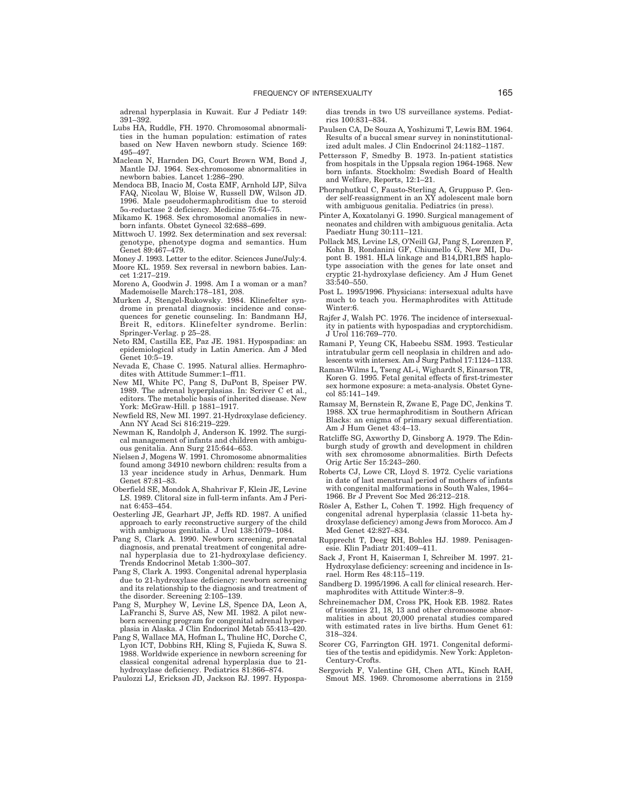adrenal hyperplasia in Kuwait. Eur J Pediatr 149: 391–392.

- Lubs HA, Ruddle, FH. 1970. Chromosomal abnormalities in the human population: estimation of rates based on New Haven newborn study. Science 169: 495–497.
- Maclean N, Harnden DG, Court Brown WM, Bond J, Mantle DJ. 1964. Sex-chromosome abnormalities in newborn babies. Lancet 1:286–290.
- Mendoca BB, Inacio M, Costa EMF, Arnhold IJP, Silva FAQ, Nicolau W, Bloise W, Russell DW, Wilson JD. 1996. Male pseudohermaphroditism due to steroid 5α-reductase 2 deficiency. Medicine 75:64-75.
- Mikamo K. 1968. Sex chromosomal anomalies in newborn infants. Obstet Gynecol 32:688–699.
- Mittwoch U. 1992. Sex determination and sex reversal: genotype, phenotype dogma and semantics. Hum Genet 89:467–479.
- Money J. 1993. Letter to the editor. Sciences June/July:4. Moore KL. 1959. Sex reversal in newborn babies. Lancet 1:217–219.
- Moreno A, Goodwin J. 1998. Am I a woman or a man? Mademoiselle March:178–181, 208.
- Murken J, Stengel-Rukowsky. 1984. Klinefelter syndrome in prenatal diagnosis: incidence and consequences for genetic counseling. In: Bandmann HJ, Breit R, editors. Klinefelter syndrome. Berlin: Springer-Verlag. p 25–28.
- Neto RM, Castilla EE, Paz JE. 1981. Hypospadias: an epidemiological study in Latin America. Am J Med Genet 10:5–19.
- Nevada E, Chase C. 1995. Natural allies. Hermaphrodites with Attitude Summer:1–ff11.
- New MI, White PC, Pang S, DuPont B, Speiser PW. 1989. The adrenal hyperplasias. In: Scriver C et al., editors. The metabolic basis of inherited disease. New York: McGraw-Hill. p 1881–1917.
- Newfield RS, New MI. 1997. 21-Hydroxylase deficiency. Ann NY Acad Sci 816:219–229.
- Newman K, Randolph J, Anderson K. 1992. The surgical management of infants and children with ambiguous genitalia. Ann Surg 215:644–653.
- Nielsen J, Mogens W. 1991. Chromosome abnormalities found among 34910 newborn children: results from a 13 year incidence study in Arhus, Denmark. Hum Genet 87:81–83.
- Oberfield SE, Mondok A, Shahrivar F, Klein JE, Levine LS. 1989. Clitoral size in full-term infants. Am J Perinat 6:453–454.
- Oesterling JE, Gearhart JP, Jeffs RD. 1987. A unified approach to early reconstructive surgery of the child with ambiguous genitalia. J Urol 138:1079–1084.
- Pang S, Clark A. 1990. Newborn screening, prenatal diagnosis, and prenatal treatment of congenital adrenal hyperplasia due to 21-hydroxylase deficiency. Trends Endocrinol Metab 1:300–307.
- Pang S, Clark A. 1993. Congenital adrenal hyperplasia due to 21-hydroxylase deficiency: newborn screening and its relationship to the diagnosis and treatment of the disorder. Screening 2:105–139.
- Pang S, Murphey W, Levine LS, Spence DA, Leon A, LaFranchi S, Surve AS, New MI. 1982. A pilot newborn screening program for congenital adrenal hyperplasia in Alaska. J Clin Endocrinol Metab 55:413–420.
- Pang S, Wallace MA, Hofman L, Thuline HC, Dorche C, Lyon ICT, Dobbins RH, Kling S, Fujieda K, Suwa S. 1988. Worldwide experience in newborn screening for classical congenital adrenal hyperplasia due to 21 hydroxylase deficiency. Pediatrics 81:866–874.
- Paulozzi LJ, Erickson JD, Jackson RJ. 1997. Hypospa-

dias trends in two US surveillance systems. Pediatrics 100:831–834.

- Paulsen CA, De Souza A, Yoshizumi T, Lewis BM. 1964. Results of a buccal smear survey in noninstitutionalized adult males. J Clin Endocrinol 24:1182–1187.
- Pettersson F, Smedby B. 1973. In-patient statistics from hospitals in the Uppsala region 1964-1968. New born infants. Stockholm: Swedish Board of Health and Welfare, Reports, 12:1–21.
- Phornphutkul C, Fausto-Sterling A, Gruppuso P. Gen-der self-reassignment in an XY adolescent male born with ambiguous genitalia. Pediatrics (in press).
- Pinter A, Koxatolanyi G. 1990. Surgical management of neonates and children with ambiguous genitalia. Acta Paediatr Hung 30:111–121.
- Pollack MS, Levine LS, O'Neill GJ, Pang S, Lorenzen F, Kohn B, Rondanini GF, Chiumello G, New MI, Dupont B. 1981. HLA linkage and B14,DR1,BfS haplotype association with the genes for late onset and cryptic 21-hydroxylase deficiency. Am J Hum Genet 33:540–550.
- Post L. 1995/1996. Physicians: intersexual adults have much to teach you. Hermaphrodites with Attitude Winter:6.
- Rajfer J, Walsh PC. 1976. The incidence of intersexuality in patients with hypospadias and cryptorchidism. J Urol 116:769–770.
- Ramani P, Yeung CK, Habeebu SSM. 1993. Testicular intratubular germ cell neoplasia in children and adolescents with intersex. Am J Surg Pathol 17:1124–1133.
- Raman-Wilms L, Tseng AL-i, Wighardt S, Einarson TR, Koren G. 1995. Fetal genital effects of first-trimester sex hormone exposure: a meta-analysis. Obstet Gynecol 85:141–149.
- Ramsay M, Bernstein R, Zwane E, Page DC, Jenkins T. 1988. XX true hermaphroditism in Southern African Blacks: an enigma of primary sexual differentiation. Am J Hum Genet 43:4–13.
- Ratcliffe SG, Axworthy D, Ginsborg A. 1979. The Edinburgh study of growth and development in children with sex chromosome abnormalities. Birth Defects Orig Artic Ser 15:243–260.
- Roberts CJ, Lowe CR, Lloyd S. 1972. Cyclic variations in date of last menstrual period of mothers of infants with congenital malformations in South Wales, 1964– 1966. Br J Prevent Soc Med 26:212–218.
- Rösler A, Esther L, Cohen T. 1992. High frequency of congenital adrenal hyperplasia (classic 11-beta hydroxylase deficiency) among Jews from Morocco. Am J Med Genet 42:827–834.
- Rupprecht T, Deeg KH, Bohles HJ. 1989. Penisagen-esie. Klin Padiatr 201:409–411.
- Sack J, Front H, Kaiserman I, Schreiber M. 1997. 21- Hydroxylase deficiency: screening and incidence in Israel. Horm Res 48:115–119.
- Sandberg D. 1995/1996. A call for clinical research. Hermaphrodites with Attitude Winter:8–9.
- Schreinemacher DM, Cross PK, Hook EB. 1982. Rates of trisomies 21, 18, 13 and other chromosome abnormalities in about 20,000 prenatal studies compared with estimated rates in live births. Hum Genet 61: 318–324.
- Scorer CG, Farrington GH. 1971. Congenital deformities of the testis and epididymis. New York: Appleton-Century-Crofts.
- Sergovich F, Valentine GH, Chen ATL, Kinch RAH, Smout MS. 1969. Chromosome aberrations in 2159